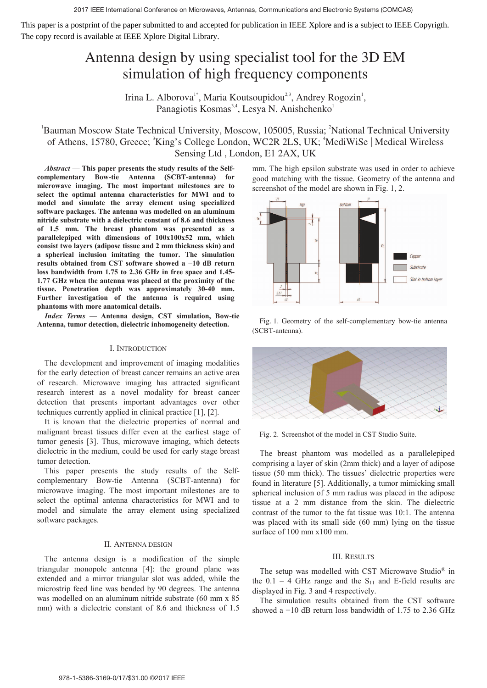# Antenna design by using specialist tool for the 3D EM simulation of high frequency components

Irina L. Alborova<sup>1\*</sup>, Maria Koutsoupidou<sup>2,3</sup>, Andrey Rogozin<sup>1</sup>, Panagiotis Kosmas<sup>3,4</sup>, Lesya N. Anishchenko<sup>1</sup>

## <sup>1</sup>Bauman Moscow State Technical University, Moscow, 105005, Russia; <sup>2</sup>National Technical University of Athens, 15780, Greece; <sup>3</sup>King's College London, WC2R 2LS, UK; <sup>4</sup>MediWiSe | Medical Wireless Sensing Ltd , London, E1 2AX, UK

*Abstract* — **This paper presents the study results of the Selfcomplementary Bow-tie Antenna (SCBT-antenna) for microwave imaging. The most important milestones are to select the optimal antenna characteristics for MWI and to model and simulate the array element using specialized software packages. The antenna was modelled on an aluminum nitride substrate with a dielectric constant of 8.6 and thickness of 1.5 mm. The breast phantom was presented as a parallelepiped with dimensions of 100x100x52 mm, which consist two layers (adipose tissue and 2 mm thickness skin) and a spherical inclusion imitating the tumor. The simulation results obtained from CST software showed a í10 dB return loss bandwidth from 1.75 to 2.36 GHz in free space and 1.45- 1.77 GHz when the antenna was placed at the proximity of the tissue. Penetration depth was approximately 30-40 mm. Further investigation of the antenna is required using phantoms with more anatomical details.**

*Index Terms* **— Antenna design, CST simulation, Bow-tie Antenna, tumor detection, dielectric inhomogeneity detection.**

#### I. INTRODUCTION

The development and improvement of imaging modalities for the early detection of breast cancer remains an active area of research. Microwave imaging has attracted significant research interest as a novel modality for breast cancer detection that presents important advantages over other techniques currently applied in clinical practice [1], [2].

It is known that the dielectric properties of normal and malignant breast tissues differ even at the earliest stage of tumor genesis [3]. Thus, microwave imaging, which detects dielectric in the medium, could be used for early stage breast tumor detection.

This paper presents the study results of the Selfcomplementary Bow-tie Antenna (SCBT-antenna) for microwave imaging. The most important milestones are to select the optimal antenna characteristics for MWI and to model and simulate the array element using specialized software packages.

### II. ANTENNA DESIGN

The antenna design is a modification of the simple triangular monopole antenna [4]: the ground plane was extended and a mirror triangular slot was added, while the microstrip feed line was bended by 90 degrees. The antenna was modelled on an aluminum nitride substrate (60 mm x 85 mm) with a dielectric constant of 8.6 and thickness of 1.5

mm. The high epsilon substrate was used in order to achieve good matching with the tissue. Geometry of the antenna and screenshot of the model are shown in Fig. 1, 2.



Fig. 1. Geometry of the self-complementary bow-tie antenna (SCBT-antenna).



Fig. 2. Screenshot of the model in CST Studio Suite.

The breast phantom was modelled as a parallelepiped comprising a layer of skin (2mm thick) and a layer of adipose tissue (50 mm thick). The tissues' dielectric properties were found in literature [5]. Additionally, a tumor mimicking small spherical inclusion of 5 mm radius was placed in the adipose tissue at a 2 mm distance from the skin. The dielectric contrast of the tumor to the fat tissue was 10:1. The antenna was placed with its small side (60 mm) lying on the tissue surface of 100 mm x100 mm.

#### III. RESULTS

The setup was modelled with CST Microwave Studio® in the  $0.1 - 4$  GHz range and the S<sub>11</sub> and E-field results are displayed in Fig. 3 and 4 respectively.

The simulation results obtained from the CST software showed a  $-10$  dB return loss bandwidth of 1.75 to 2.36 GHz